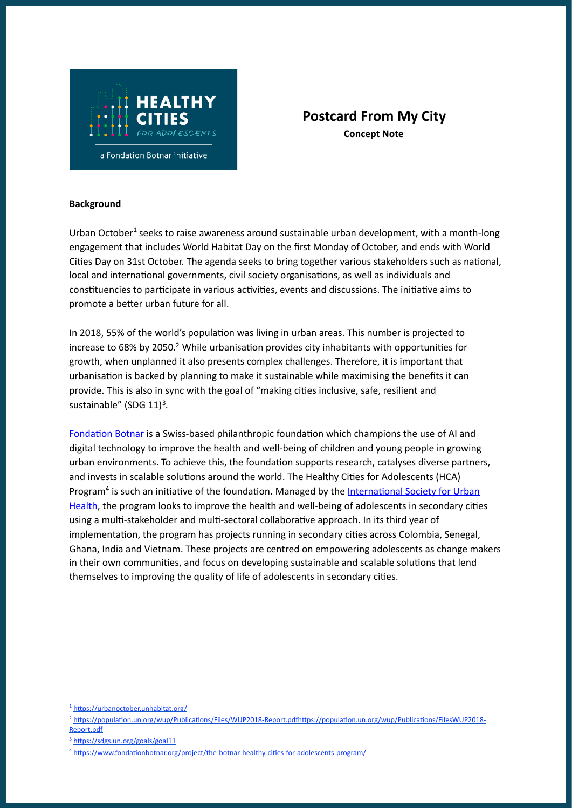

## **Postcard From My City Concept Note**

## **Background**

<span id="page-0-4"></span>Urban October<sup>[1](#page-0-0)</sup> seeks to raise awareness around sustainable urban development, with a month-long engagement that includes World Habitat Day on the first Monday of October, and ends with World Cities Day on 31st October. The agenda seeks to bring together various stakeholders such as national, local and international governments, civil society organisations, as well as individuals and constituencies to participate in various activities, events and discussions. The initiative aims to promote a better urban future for all.

<span id="page-0-5"></span>In 2018, 55% of the world's population was living in urban areas. This number is projected to increase to 68% by [2](#page-0-1)050.<sup>2</sup> While urbanisation provides city inhabitants with opportunities for growth, when unplanned it also presents complex challenges. Therefore, it is important that urbanisation is backed by planning to make it sustainable while maximising the benefits it can provide. This is also in sync with the goal of "making cities inclusive, safe, resilient and sustainable" (SDG  $11$ )<sup>[3](#page-0-2)</sup>.

<span id="page-0-7"></span><span id="page-0-6"></span>Fondation Botnar is a Swiss-based philanthropic foundation which champions the use of AI and digital technology to improve the health and well-being of children and young people in growing urban environments. To achieve this, the foundation supports research, catalyses diverse partners, and invests in scalable solutions around the world. The Healthy Cities for Adolescents (HCA) Program<sup>[4](#page-0-3)</sup> is such an initiative of the foundation. Managed by the International Society for Urban Health, the program looks to improve the health and well-being of adolescents in secondary cities using a multi-stakeholder and multi-sectoral collaborative approach. In its third year of implementation, the program has projects running in secondary cities across Colombia, Senegal, Ghana, India and Vietnam. These projects are centred on empowering adolescents as change makers in their own communities, and focus on developing sustainable and scalable solutions that lend themselves to improving the quality of life of adolescents in secondary cities.

<span id="page-0-0"></span><sup>&</sup>lt;sup>[1](#page-0-4)</sup> https://urbanoctober.unhabitat.org/

<span id="page-0-1"></span><sup>&</sup>lt;sup>[2](#page-0-5)</sup> https://population.un.org/wup/Publications/Files/WUP2018-Report.pdfhttps://population.un.org/wup/Publications/FilesWUP2018-Report.pdf

<span id="page-0-2"></span><sup>&</sup>lt;sup>[3](#page-0-6)</sup> https://sdgs.un.org/goals/goal11

<span id="page-0-3"></span><sup>&</sup>lt;sup>[4](#page-0-7)</sup> https://www.fondationbotnar.org/project/the-botnar-healthy-cities-for-adolescents-program/